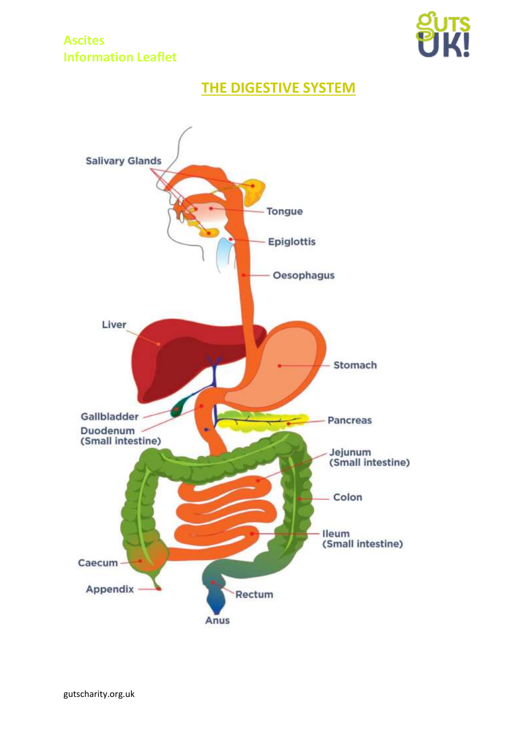## **Ascites Information Leaflet**



# **THE DIGESTIVE SYSTEM**

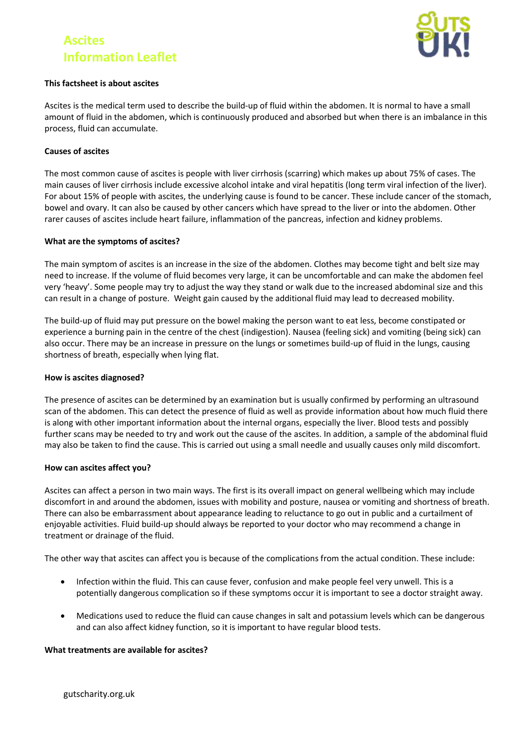# **Ascites Information Leaflet**



### **This factsheet is about ascites**

Ascites is the medical term used to describe the build-up of fluid within the abdomen. It is normal to have a small amount of fluid in the abdomen, which is continuously produced and absorbed but when there is an imbalance in this process, fluid can accumulate.

#### **Causes of ascites**

The most common cause of ascites is people with liver cirrhosis (scarring) which makes up about 75% of cases. The main causes of liver cirrhosis include excessive alcohol intake and viral hepatitis (long term viral infection of the liver). For about 15% of people with ascites, the underlying cause is found to be cancer. These include cancer of the stomach, bowel and ovary. It can also be caused by other cancers which have spread to the liver or into the abdomen. Other rarer causes of ascites include heart failure, inflammation of the pancreas, infection and kidney problems.

#### **What are the symptoms of ascites?**

The main symptom of ascites is an increase in the size of the abdomen. Clothes may become tight and belt size may need to increase. If the volume of fluid becomes very large, it can be uncomfortable and can make the abdomen feel very 'heavy'. Some people may try to adjust the way they stand or walk due to the increased abdominal size and this can result in a change of posture. Weight gain caused by the additional fluid may lead to decreased mobility.

The build-up of fluid may put pressure on the bowel making the person want to eat less, become constipated or experience a burning pain in the centre of the chest (indigestion). Nausea (feeling sick) and vomiting (being sick) can also occur. There may be an increase in pressure on the lungs or sometimes build-up of fluid in the lungs, causing shortness of breath, especially when lying flat.

#### **How is ascites diagnosed?**

The presence of ascites can be determined by an examination but is usually confirmed by performing an ultrasound scan of the abdomen. This can detect the presence of fluid as well as provide information about how much fluid there is along with other important information about the internal organs, especially the liver. Blood tests and possibly further scans may be needed to try and work out the cause of the ascites. In addition, a sample of the abdominal fluid may also be taken to find the cause. This is carried out using a small needle and usually causes only mild discomfort.

#### **How can ascites affect you?**

Ascites can affect a person in two main ways. The first is its overall impact on general wellbeing which may include discomfort in and around the abdomen, issues with mobility and posture, nausea or vomiting and shortness of breath. There can also be embarrassment about appearance leading to reluctance to go out in public and a curtailment of enjoyable activities. Fluid build-up should always be reported to your doctor who may recommend a change in treatment or drainage of the fluid.

The other way that ascites can affect you is because of the complications from the actual condition. These include:

- Infection within the fluid. This can cause fever, confusion and make people feel very unwell. This is a potentially dangerous complication so if these symptoms occur it is important to see a doctor straight away.
- Medications used to reduce the fluid can cause changes in salt and potassium levels which can be dangerous and can also affect kidney function, so it is important to have regular blood tests.

#### **What treatments are available for ascites?**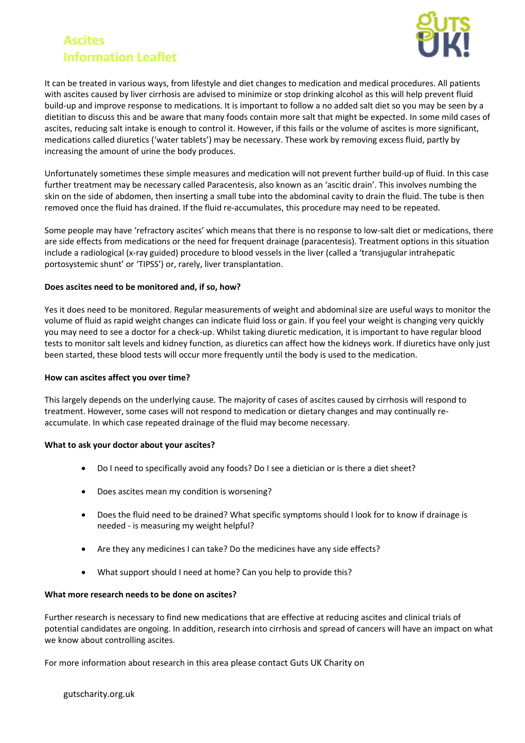# **Ascites Information Leaflet**



It can be treated in various ways, from lifestyle and diet changes to medication and medical procedures. All patients with ascites caused by liver cirrhosis are advised to minimize or stop drinking alcohol as this will help prevent fluid build-up and improve response to medications. It is important to follow a no added salt diet so you may be seen by a dietitian to discuss this and be aware that many foods contain more salt that might be expected. In some mild cases of ascites, reducing salt intake is enough to control it. However, if this fails or the volume of ascites is more significant, medications called diuretics ('water tablets') may be necessary. These work by removing excess fluid, partly by increasing the amount of urine the body produces.

Unfortunately sometimes these simple measures and medication will not prevent further build-up of fluid. In this case further treatment may be necessary called Paracentesis, also known as an 'ascitic drain'. This involves numbing the skin on the side of abdomen, then inserting a small tube into the abdominal cavity to drain the fluid. The tube is then removed once the fluid has drained. If the fluid re-accumulates, this procedure may need to be repeated.

Some people may have 'refractory ascites' which means that there is no response to low-salt diet or medications, there are side effects from medications or the need for frequent drainage (paracentesis). Treatment options in this situation include a radiological (x-ray guided) procedure to blood vessels in the liver (called a 'transjugular intrahepatic portosystemic shunt' or 'TIPSS') or, rarely, liver transplantation.

### **Does ascites need to be monitored and, if so, how?**

Yes it does need to be monitored. Regular measurements of weight and abdominal size are useful ways to monitor the volume of fluid as rapid weight changes can indicate fluid loss or gain. If you feel your weight is changing very quickly you may need to see a doctor for a check-up. Whilst taking diuretic medication, it is important to have regular blood tests to monitor salt levels and kidney function, as diuretics can affect how the kidneys work. If diuretics have only just been started, these blood tests will occur more frequently until the body is used to the medication.

#### **How can ascites affect you over time?**

This largely depends on the underlying cause. The majority of cases of ascites caused by cirrhosis will respond to treatment. However, some cases will not respond to medication or dietary changes and may continually reaccumulate. In which case repeated drainage of the fluid may become necessary.

### **What to ask your doctor about your ascites?**

- Do I need to specifically avoid any foods? Do I see a dietician or is there a diet sheet?
- Does ascites mean my condition is worsening?
- Does the fluid need to be drained? What specific symptoms should I look for to know if drainage is needed - is measuring my weight helpful?
- Are they any medicines I can take? Do the medicines have any side effects?
- What support should I need at home? Can you help to provide this?

#### **What more research needs to be done on ascites?**

Further research is necessary to find new medications that are effective at reducing ascites and clinical trials of potential candidates are ongoing. In addition, research into cirrhosis and spread of cancers will have an impact on what we know about controlling ascites.

For more information about research in this area please contact Guts UK Charity on

gutscharity.org.uk